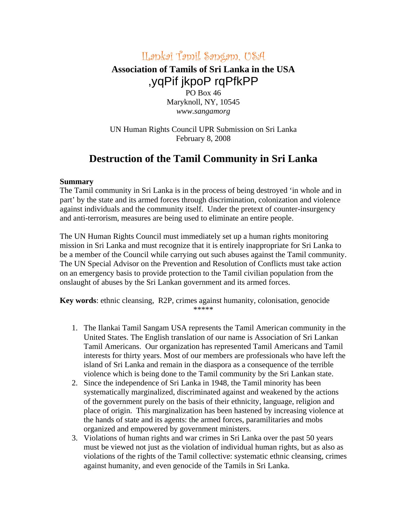## ILankai Tamil Sangam, USA

## **Association of Tamils of Sri Lanka in the USA** ,yqPif jkpoP rqPfkPP

PO Box 46 Maryknoll, NY, 10545 *www.sangamorg* 

UN Human Rights Council UPR Submission on Sri Lanka February 8, 2008

## **Destruction of the Tamil Community in Sri Lanka**

## **Summary**

The Tamil community in Sri Lanka is in the process of being destroyed 'in whole and in part' by the state and its armed forces through discrimination, colonization and violence against individuals and the community itself. Under the pretext of counter-insurgency and anti-terrorism, measures are being used to eliminate an entire people.

The UN Human Rights Council must immediately set up a human rights monitoring mission in Sri Lanka and must recognize that it is entirely inappropriate for Sri Lanka to be a member of the Council while carrying out such abuses against the Tamil community. The UN Special Advisor on the Prevention and Resolution of Conflicts must take action on an emergency basis to provide protection to the Tamil civilian population from the onslaught of abuses by the Sri Lankan government and its armed forces.

**Key words**: ethnic cleansing, R2P, crimes against humanity, colonisation, genocide \*\*\*\*\*

- 1. The Ilankai Tamil Sangam USA represents the Tamil American community in the United States. The English translation of our name is Association of Sri Lankan Tamil Americans. Our organization has represented Tamil Americans and Tamil interests for thirty years. Most of our members are professionals who have left the island of Sri Lanka and remain in the diaspora as a consequence of the terrible violence which is being done to the Tamil community by the Sri Lankan state.
- 2. Since the independence of Sri Lanka in 1948, the Tamil minority has been systematically marginalized, discriminated against and weakened by the actions of the government purely on the basis of their ethnicity, language, religion and place of origin. This marginalization has been hastened by increasing violence at the hands of state and its agents: the armed forces, paramilitaries and mobs organized and empowered by government ministers.
- 3. Violations of human rights and war crimes in Sri Lanka over the past 50 years must be viewed not just as the violation of individual human rights, but as also as violations of the rights of the Tamil collective: systematic ethnic cleansing, crimes against humanity, and even genocide of the Tamils in Sri Lanka.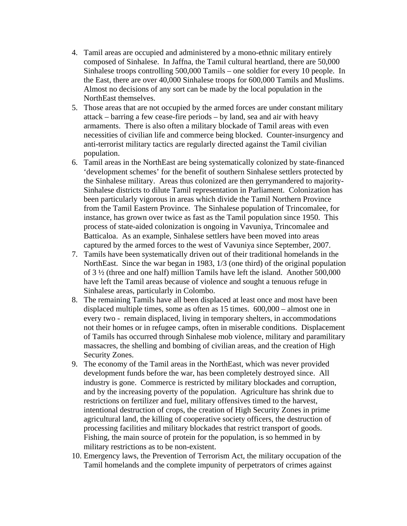- 4. Tamil areas are occupied and administered by a mono-ethnic military entirely composed of Sinhalese. In Jaffna, the Tamil cultural heartland, there are 50,000 Sinhalese troops controlling 500,000 Tamils – one soldier for every 10 people. In the East, there are over 40,000 Sinhalese troops for 600,000 Tamils and Muslims. Almost no decisions of any sort can be made by the local population in the NorthEast themselves.
- 5. Those areas that are not occupied by the armed forces are under constant military attack – barring a few cease-fire periods – by land, sea and air with heavy armaments. There is also often a military blockade of Tamil areas with even necessities of civilian life and commerce being blocked. Counter-insurgency and anti-terrorist military tactics are regularly directed against the Tamil civilian population.
- 6. Tamil areas in the NorthEast are being systematically colonized by state-financed 'development schemes' for the benefit of southern Sinhalese settlers protected by the Sinhalese military. Areas thus colonized are then gerrymandered to majority-Sinhalese districts to dilute Tamil representation in Parliament. Colonization has been particularly vigorous in areas which divide the Tamil Northern Province from the Tamil Eastern Province. The Sinhalese population of Trincomalee, for instance, has grown over twice as fast as the Tamil population since 1950. This process of state-aided colonization is ongoing in Vavuniya, Trincomalee and Batticaloa. As an example, Sinhalese settlers have been moved into areas captured by the armed forces to the west of Vavuniya since September, 2007.
- 7. Tamils have been systematically driven out of their traditional homelands in the NorthEast. Since the war began in 1983, 1/3 (one third) of the original population of 3 ½ (three and one half) million Tamils have left the island. Another 500,000 have left the Tamil areas because of violence and sought a tenuous refuge in Sinhalese areas, particularly in Colombo.
- 8. The remaining Tamils have all been displaced at least once and most have been displaced multiple times, some as often as 15 times. 600,000 – almost one in every two - remain displaced, living in temporary shelters, in accommodations not their homes or in refugee camps, often in miserable conditions. Displacement of Tamils has occurred through Sinhalese mob violence, military and paramilitary massacres, the shelling and bombing of civilian areas, and the creation of High Security Zones.
- 9. The economy of the Tamil areas in the NorthEast, which was never provided development funds before the war, has been completely destroyed since. All industry is gone. Commerce is restricted by military blockades and corruption, and by the increasing poverty of the population. Agriculture has shrink due to restrictions on fertilizer and fuel, military offensives timed to the harvest, intentional destruction of crops, the creation of High Security Zones in prime agricultural land, the killing of cooperative society officers, the destruction of processing facilities and military blockades that restrict transport of goods. Fishing, the main source of protein for the population, is so hemmed in by military restrictions as to be non-existent.
- 10. Emergency laws, the Prevention of Terrorism Act, the military occupation of the Tamil homelands and the complete impunity of perpetrators of crimes against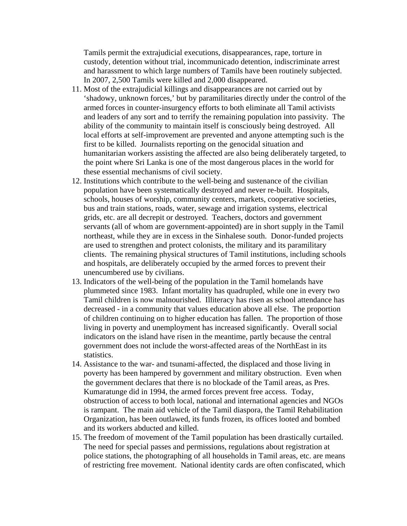Tamils permit the extrajudicial executions, disappearances, rape, torture in custody, detention without trial, incommunicado detention, indiscriminate arrest and harassment to which large numbers of Tamils have been routinely subjected. In 2007, 2,500 Tamils were killed and 2,000 disappeared.

- 11. Most of the extrajudicial killings and disappearances are not carried out by 'shadowy, unknown forces,' but by paramilitaries directly under the control of the armed forces in counter-insurgency efforts to both eliminate all Tamil activists and leaders of any sort and to terrify the remaining population into passivity. The ability of the community to maintain itself is consciously being destroyed. All local efforts at self-improvement are prevented and anyone attempting such is the first to be killed. Journalists reporting on the genocidal situation and humanitarian workers assisting the affected are also being deliberately targeted, to the point where Sri Lanka is one of the most dangerous places in the world for these essential mechanisms of civil society.
- 12. Institutions which contribute to the well-being and sustenance of the civilian population have been systematically destroyed and never re-built. Hospitals, schools, houses of worship, community centers, markets, cooperative societies, bus and train stations, roads, water, sewage and irrigation systems, electrical grids, etc. are all decrepit or destroyed. Teachers, doctors and government servants (all of whom are government-appointed) are in short supply in the Tamil northeast, while they are in excess in the Sinhalese south. Donor-funded projects are used to strengthen and protect colonists, the military and its paramilitary clients. The remaining physical structures of Tamil institutions, including schools and hospitals, are deliberately occupied by the armed forces to prevent their unencumbered use by civilians.
- 13. Indicators of the well-being of the population in the Tamil homelands have plummeted since 1983. Infant mortality has quadrupled, while one in every two Tamil children is now malnourished. Illiteracy has risen as school attendance has decreased - in a community that values education above all else. The proportion of children continuing on to higher education has fallen. The proportion of those living in poverty and unemployment has increased significantly. Overall social indicators on the island have risen in the meantime, partly because the central government does not include the worst-affected areas of the NorthEast in its statistics.
- 14. Assistance to the war- and tsunami-affected, the displaced and those living in poverty has been hampered by government and military obstruction. Even when the government declares that there is no blockade of the Tamil areas, as Pres. Kumaratunge did in 1994, the armed forces prevent free access. Today, obstruction of access to both local, national and international agencies and NGOs is rampant. The main aid vehicle of the Tamil diaspora, the Tamil Rehabilitation Organization, has been outlawed, its funds frozen, its offices looted and bombed and its workers abducted and killed.
- 15. The freedom of movement of the Tamil population has been drastically curtailed. The need for special passes and permissions, regulations about registration at police stations, the photographing of all households in Tamil areas, etc. are means of restricting free movement. National identity cards are often confiscated, which